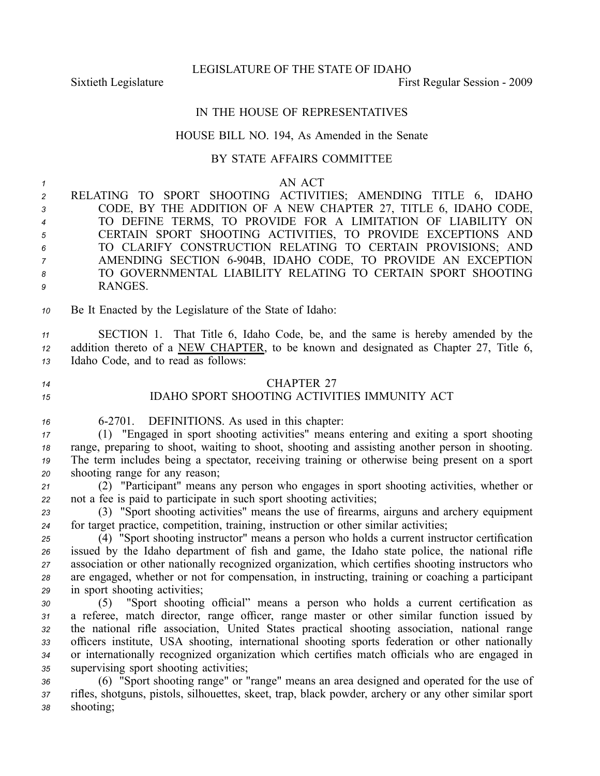LEGISLATURE OF THE STATE OF IDAHO

Sixtieth Legislature First Regular Session - 2009

## IN THE HOUSE OF REPRESENTATIVES

## HOUSE BILL NO. 194, As Amended in the Senate

## BY STATE AFFAIRS COMMITTEE

*1* AN ACT RELATING TO SPORT SHOOTING ACTIVITIES; AMENDING TITLE 6, IDAHO CODE, BY THE ADDITION OF A NEW CHAPTER 27, TITLE 6, IDAHO CODE, TO DEFINE TERMS, TO PROVIDE FOR A LIMITATION OF LIABILITY ON CERTAIN SPORT SHOOTING ACTIVITIES, TO PROVIDE EXCEPTIONS AND TO CLARIFY CONSTRUCTION RELATING TO CERTAIN PROVISIONS; AND AMENDING SECTION 6904B, IDAHO CODE, TO PROVIDE AN EXCEPTION TO GOVERNMENTAL LIABILITY RELATING TO CERTAIN SPORT SHOOTING *9* RANGES. Be It Enacted by the Legislature of the State of Idaho: SECTION 1. That Title 6, Idaho Code, be, and the same is hereby amended by the addition thereto of <sup>a</sup> NEW CHAPTER, to be known and designated as Chapter 27, Title 6, Idaho Code, and to read as follows: CHAPTER 27 IDAHO SPORT SHOOTING ACTIVITIES IMMUNITY ACT 62701. DEFINITIONS. As used in this chapter: (1) "Engaged in spor<sup>t</sup> shooting activities" means entering and exiting <sup>a</sup> spor<sup>t</sup> shooting range, preparing to shoot, waiting to shoot, shooting and assisting another person in shooting. The term includes being <sup>a</sup> spectator, receiving training or otherwise being presen<sup>t</sup> on <sup>a</sup> spor<sup>t</sup> shooting range for any reason; (2) "Participant" means any person who engages in spor<sup>t</sup> shooting activities, whether or not <sup>a</sup> fee is paid to participate in such spor<sup>t</sup> shooting activities; (3) "Sport shooting activities" means the use of firearms, airguns and archery equipment for target practice, competition, training, instruction or other similar activities; (4) "Sport shooting instructor" means <sup>a</sup> person who holds <sup>a</sup> current instructor certification issued by the Idaho department of fish and game, the Idaho state police, the national rifle association or other nationally recognized organization, which certifies shooting instructors who are engaged, whether or not for compensation, in instructing, training or coaching <sup>a</sup> participant in spor<sup>t</sup> shooting activities; (5) "Sport shooting official" means <sup>a</sup> person who holds <sup>a</sup> current certification as <sup>a</sup> referee, match director, range officer, range master or other similar function issued by the national rifle association, United States practical shooting association, national range officers institute, USA shooting, international shooting sports federation or other nationally or internationally recognized organization which certifies match officials who are engaged in supervising spor<sup>t</sup> shooting activities; (6) "Sport shooting range" or "range" means an area designed and operated for the use of rifles, shotguns, pistols, silhouettes, skeet, trap, black powder, archery or any other similar spor<sup>t</sup> *<sup>38</sup>* shooting;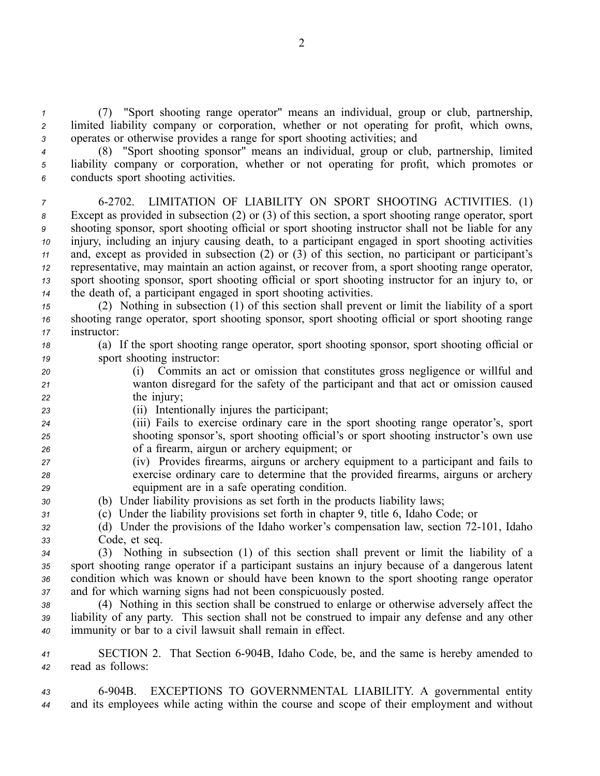*<sup>1</sup>* (7) "Sport shooting range operator" means an individual, group or club, partnership, *<sup>2</sup>* limited liability company or corporation, whether or not operating for profit, which owns, *<sup>3</sup>* operates or otherwise provides <sup>a</sup> range for spor<sup>t</sup> shooting activities; and

*<sup>4</sup>* (8) "Sport shooting sponsor" means an individual, group or club, partnership, limited *<sup>5</sup>* liability company or corporation, whether or not operating for profit, which promotes or *<sup>6</sup>* conducts spor<sup>t</sup> shooting activities.

 62702. LIMITATION OF LIABILITY ON SPORT SHOOTING ACTIVITIES. (1) Except as provided in subsection (2) or (3) of this section, <sup>a</sup> spor<sup>t</sup> shooting range operator, spor<sup>t</sup> shooting sponsor, spor<sup>t</sup> shooting official or spor<sup>t</sup> shooting instructor shall not be liable for any injury, including an injury causing death, to <sup>a</sup> participant engaged in spor<sup>t</sup> shooting activities and, excep<sup>t</sup> as provided in subsection (2) or (3) of this section, no participant or participant's representative, may maintain an action against, or recover from, <sup>a</sup> spor<sup>t</sup> shooting range operator, spor<sup>t</sup> shooting sponsor, spor<sup>t</sup> shooting official or spor<sup>t</sup> shooting instructor for an injury to, or the death of, <sup>a</sup> participant engaged in spor<sup>t</sup> shooting activities.

*<sup>15</sup>* (2) Nothing in subsection (1) of this section shall preven<sup>t</sup> or limit the liability of <sup>a</sup> spor<sup>t</sup> *<sup>16</sup>* shooting range operator, spor<sup>t</sup> shooting sponsor, spor<sup>t</sup> shooting official or spor<sup>t</sup> shooting range *<sup>17</sup>* instructor:

*<sup>18</sup>* (a) If the spor<sup>t</sup> shooting range operator, spor<sup>t</sup> shooting sponsor, spor<sup>t</sup> shooting official or *<sup>19</sup>* spor<sup>t</sup> shooting instructor:

- *<sup>20</sup>* (i) Commits an act or omission that constitutes gross negligence or willful and *<sup>21</sup>* wanton disregard for the safety of the participant and that act or omission caused *<sup>22</sup>* the injury;
- *<sup>23</sup>* (ii) Intentionally injures the participant;
- *<sup>24</sup>* (iii) Fails to exercise ordinary care in the spor<sup>t</sup> shooting range operator's, spor<sup>t</sup> *<sup>25</sup>* shooting sponsor's, spor<sup>t</sup> shooting official's or spor<sup>t</sup> shooting instructor's own use *<sup>26</sup>* of <sup>a</sup> firearm, airgun or archery equipment; or
- *<sup>27</sup>* (iv) Provides firearms, airguns or archery equipment to <sup>a</sup> participant and fails to *<sup>28</sup>* exercise ordinary care to determine that the provided firearms, airguns or archery *<sup>29</sup>* equipment are in <sup>a</sup> safe operating condition.
- *<sup>30</sup>* (b) Under liability provisions as set forth in the products liability laws;
- *<sup>31</sup>* (c) Under the liability provisions set forth in chapter 9, title 6, Idaho Code; or
- *32* (d) Under the provisions of the Idaho worker's compensation law, section 72-101, Idaho *<sup>33</sup>* Code, et seq.
- *<sup>34</sup>* (3) Nothing in subsection (1) of this section shall preven<sup>t</sup> or limit the liability of <sup>a</sup> *<sup>35</sup>* spor<sup>t</sup> shooting range operator if <sup>a</sup> participant sustains an injury because of <sup>a</sup> dangerous latent *<sup>36</sup>* condition which was known or should have been known to the spor<sup>t</sup> shooting range operator *<sup>37</sup>* and for which warning signs had not been conspicuously posted.
- *<sup>38</sup>* (4) Nothing in this section shall be construed to enlarge or otherwise adversely affect the *<sup>39</sup>* liability of any party. This section shall not be construed to impair any defense and any other *<sup>40</sup>* immunity or bar to <sup>a</sup> civil lawsuit shall remain in effect.

*<sup>41</sup>* SECTION 2. That Section 6904B, Idaho Code, be, and the same is hereby amended to *<sup>42</sup>* read as follows:

*<sup>43</sup>* 6904B. EXCEPTIONS TO GOVERNMENTAL LIABILITY. A governmental entity *<sup>44</sup>* and its employees while acting within the course and scope of their employment and without